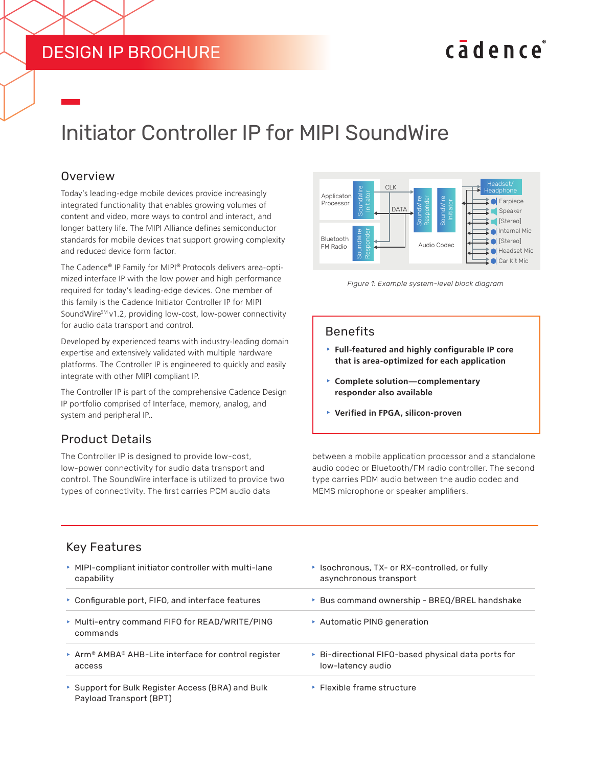## DESIGN IP BROCHURE

# cadence

## Initiator Controller IP for MIPI SoundWire

#### **Overview**

Today's leading-edge mobile devices provide increasingly integrated functionality that enables growing volumes of content and video, more ways to control and interact, and longer battery life. The MIPI Alliance defines semiconductor standards for mobile devices that support growing complexity and reduced device form factor.

The Cadence® IP Family for MIPI® Protocols delivers area-optimized interface IP with the low power and high performance required for today's leading-edge devices. One member of this family is the Cadence Initiator Controller IP for MIPI SoundWire<sup>sM</sup> v1.2, providing low-cost, low-power connectivity for audio data transport and control.

Developed by experienced teams with industry-leading domain expertise and extensively validated with multiple hardware platforms. The Controller IP is engineered to quickly and easily integrate with other MIPI compliant IP.

The Controller IP is part of the comprehensive Cadence Design IP portfolio comprised of Interface, memory, analog, and system and peripheral IP..

#### Product Details

The Controller IP is designed to provide low-cost, low-power connectivity for audio data transport and control. The SoundWire interface is utilized to provide two types of connectivity. The first carries PCM audio data



*Figure 1: Example system-level block diagram*

#### Benefits

- **Full-featured and highly configurable IP core that is area-optimized for each application**
- **Examplete solution—complementary responder also available**
- **EXA** Verified in FPGA, silicon-proven

between a mobile application processor and a standalone audio codec or Bluetooth/FM radio controller. The second type carries PDM audio between the audio codec and MEMS microphone or speaker amplifiers.

#### Key Features

| ▶ MIPI-compliant initiator controller with multi-lane<br>capability          | ▶ Isochronous, TX- or RX-controlled, or fully<br>asynchronous transport  |
|------------------------------------------------------------------------------|--------------------------------------------------------------------------|
| • Configurable port, FIFO, and interface features                            | ▶ Bus command ownership - BREQ/BREL handshake                            |
| ▶ Multi-entry command FIFO for READ/WRITE/PING<br>commands                   | ▶ Automatic PING generation                                              |
| ▶ Arm® AMBA® AHB-Lite interface for control register<br>access               | ▶ Bi-directional FIFO-based physical data ports for<br>low-latency audio |
| ▶ Support for Bulk Register Access (BRA) and Bulk<br>Payload Transport (BPT) | ▶ Flexible frame structure                                               |